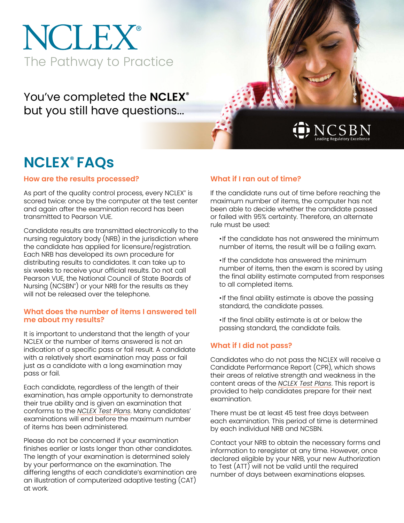# NCLEX® The Pathway to Practice

You've completed the **NCLEX®** but you still have questions...

## DNCSBN

### **NCLEX® FAQs**

**How are the results processed?**

As part of the quality control process, every NCLEX® is scored twice: once by the computer at the test center and again after the examination record has been transmitted to Pearson VUE.

Candidate results are transmitted electronically to the nursing regulatory body (NRB) in the jurisdiction where the candidate has applied for licensure/registration. Each NRB has developed its own procedure for distributing results to candidates. It can take up to six weeks to receive your official results. Do not call Pearson VUE, the National Council of State Boards of Nursing (NCSBN® ) or your NRB for the results as they will not be released over the telephone.

#### **What does the number of items I answered tell me about my results?**

It is important to understand that the length of your NCLEX or the number of items answered is not an indication of a specific pass or fail result. A candidate with a relatively short examination may pass or fail just as a candidate with a long examination may pass or fail.

Each candidate, regardless of the length of their examination, has ample opportunity to demonstrate their true ability and is given an examination that conforms to the *[NCLEX Test Plans](https://www.nclex.com/test-plans.htm)*. Many candidates' examinations will end before the maximum number of items has been administered.

Please do not be concerned if your examination finishes earlier or lasts longer than other candidates. The length of your examination is determined solely by your performance on the examination. The differing lengths of each candidate's examination are an illustration of computerized adaptive testing (CAT) at work.

### **What if I ran out of time?**

If the candidate runs out of time before reaching the maximum number of items, the computer has not been able to decide whether the candidate passed or failed with 95% certainty. Therefore, an alternate rule must be used:

•If the candidate has not answered the minimum number of items, the result will be a failing exam.

- •If the candidate has answered the minimum number of items, then the exam is scored by using the final ability estimate computed from responses to all completed items.
- •If the final ability estimate is above the passing standard, the candidate passes.
- •If the final ability estimate is at or below the passing standard, the candidate fails.

### **What if I did not pass?**

Candidates who do not pass the NCLEX will receive a Candidate Performance Report (CPR), which shows their areas of relative strength and weakness in the content areas of the *[NCLEX Test Plans](https://www.nclex.com/test-plans.htm)*. This report is provided to help candidates prepare for their next examination.

There must be at least 45 test free days between each examination. This period of time is determined by each individual NRB and NCSBN.

Contact your NRB to obtain the necessary forms and information to reregister at any time. However, once declared eligible by your NRB, your new Authorization to Test (ATT) will not be valid until the required number of days between examinations elapses.